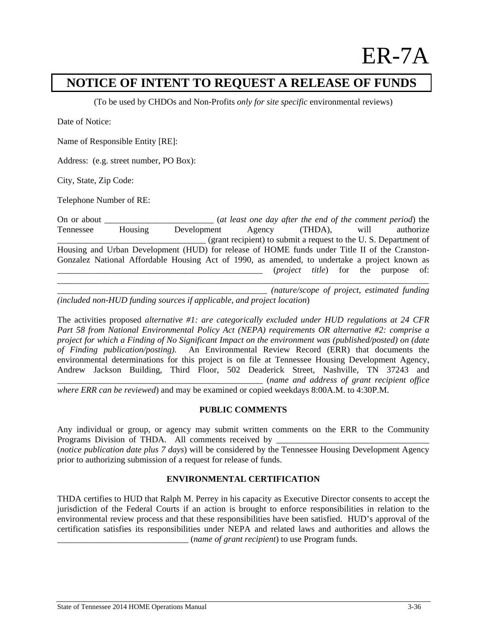# ER-7A

## **NOTICE OF INTENT TO REQUEST A RELEASE OF FUNDS**

(To be used by CHDOs and Non-Profits *only for site specific* environmental reviews)

Date of Notice:

Name of Responsible Entity [RE]:

Address: (e.g. street number, PO Box):

City, State, Zip Code:

Telephone Number of RE:

On or about **On about** (*at least one day after the end of the comment period*) the Tennessee Housing Development Agency (THDA), will authorize \_\_\_\_\_\_\_\_\_\_\_\_\_\_\_\_\_\_\_\_\_\_\_\_\_\_\_\_\_\_\_\_\_\_ (grant recipient) to submit a request to the U. S. Department of Housing and Urban Development (HUD) for release of HOME funds under Title II of the Cranston-Gonzalez National Affordable Housing Act of 1990, as amended, to undertake a project known as \_\_\_\_\_\_\_\_\_\_\_\_\_\_\_\_\_\_\_\_\_\_\_\_\_\_\_\_\_\_\_\_\_\_\_\_\_\_\_\_\_\_\_\_\_\_\_ (*project title*) for the purpose of: \_\_\_\_\_\_\_\_\_\_\_\_\_\_\_\_\_\_\_\_\_\_\_\_\_\_\_\_\_\_\_\_\_\_\_\_\_\_\_\_\_\_\_\_\_\_\_\_\_\_\_\_\_\_\_\_\_\_\_\_\_\_\_\_\_\_\_\_\_\_\_\_\_\_\_\_\_\_\_\_\_\_\_\_\_

\_\_\_\_\_\_\_\_\_\_\_\_\_\_\_\_\_\_\_\_\_\_\_\_\_\_\_\_\_\_\_\_\_\_\_\_\_\_\_\_\_\_\_\_\_\_\_\_ *(nature/scope of project, estimated funding (included non-HUD funding sources if applicable, and project location*)

The activities proposed *alternative #1: are categorically excluded under HUD regulations at 24 CFR Part 58 from National Environmental Policy Act (NEPA) requirements OR alternative #2: comprise a project for which a Finding of No Significant Impact on the environment was (published/posted) on (date of Finding publication/posting).* An Environmental Review Record (ERR) that documents the environmental determinations for this project is on file at Tennessee Housing Development Agency, Andrew Jackson Building, Third Floor, 502 Deaderick Street, Nashville, TN 37243 and \_\_\_\_\_\_\_\_\_\_\_\_\_\_\_\_\_\_\_\_\_\_\_\_\_\_\_\_\_\_\_\_\_\_\_\_\_\_\_\_\_\_\_\_\_\_\_ (*name and address of grant recipient office* 

*where ERR can be reviewed*) and may be examined or copied weekdays 8:00A.M. to 4:30P.M.

#### **PUBLIC COMMENTS**

Any individual or group, or agency may submit written comments on the ERR to the Community Programs Division of THDA. All comments received by \_\_\_\_\_\_\_\_\_\_\_\_\_\_\_\_\_\_\_\_\_\_\_\_\_\_\_\_\_

(*notice publication date plus 7 days*) will be considered by the Tennessee Housing Development Agency prior to authorizing submission of a request for release of funds.

### **ENVIRONMENTAL CERTIFICATION**

THDA certifies to HUD that Ralph M. Perrey in his capacity as Executive Director consents to accept the jurisdiction of the Federal Courts if an action is brought to enforce responsibilities in relation to the environmental review process and that these responsibilities have been satisfied. HUD's approval of the certification satisfies its responsibilities under NEPA and related laws and authorities and allows the \_\_\_\_\_\_\_\_\_\_\_\_\_\_\_\_\_\_\_\_\_\_\_\_\_\_\_\_\_\_ (*name of grant recipient*) to use Program funds.